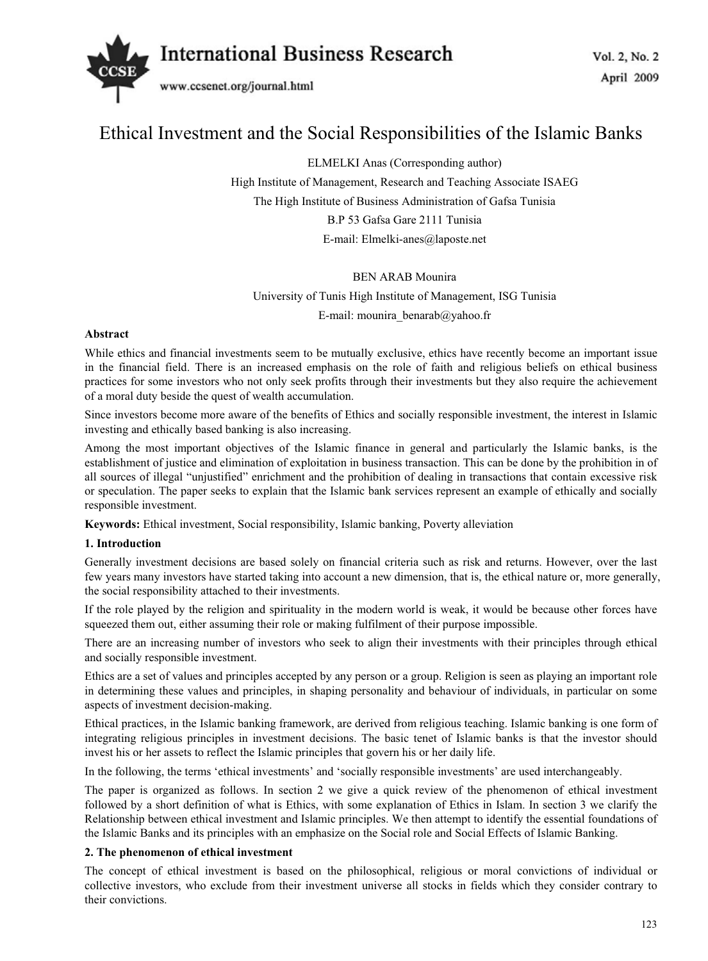

# Ethical Investment and the Social Responsibilities of the Islamic Banks

ELMELKI Anas (Corresponding author)

High Institute of Management, Research and Teaching Associate ISAEG The High Institute of Business Administration of Gafsa Tunisia B.P 53 Gafsa Gare 2111 Tunisia

E-mail: Elmelki-anes@laposte.net

## BEN ARAB Mounira

University of Tunis High Institute of Management, ISG Tunisia

E-mail: mounira\_benarab@yahoo.fr

## **Abstract**

While ethics and financial investments seem to be mutually exclusive, ethics have recently become an important issue in the financial field. There is an increased emphasis on the role of faith and religious beliefs on ethical business practices for some investors who not only seek profits through their investments but they also require the achievement of a moral duty beside the quest of wealth accumulation.

Since investors become more aware of the benefits of Ethics and socially responsible investment, the interest in Islamic investing and ethically based banking is also increasing.

Among the most important objectives of the Islamic finance in general and particularly the Islamic banks, is the establishment of justice and elimination of exploitation in business transaction. This can be done by the prohibition in of all sources of illegal "unjustified" enrichment and the prohibition of dealing in transactions that contain excessive risk or speculation. The paper seeks to explain that the Islamic bank services represent an example of ethically and socially responsible investment.

**Keywords:** Ethical investment, Social responsibility, Islamic banking, Poverty alleviation

## **1. Introduction**

Generally investment decisions are based solely on financial criteria such as risk and returns. However, over the last few years many investors have started taking into account a new dimension, that is, the ethical nature or, more generally, the social responsibility attached to their investments.

If the role played by the religion and spirituality in the modern world is weak, it would be because other forces have squeezed them out, either assuming their role or making fulfilment of their purpose impossible.

There are an increasing number of investors who seek to align their investments with their principles through ethical and socially responsible investment.

Ethics are a set of values and principles accepted by any person or a group. Religion is seen as playing an important role in determining these values and principles, in shaping personality and behaviour of individuals, in particular on some aspects of investment decision-making.

Ethical practices, in the Islamic banking framework, are derived from religious teaching. Islamic banking is one form of integrating religious principles in investment decisions. The basic tenet of Islamic banks is that the investor should invest his or her assets to reflect the Islamic principles that govern his or her daily life.

In the following, the terms 'ethical investments' and 'socially responsible investments' are used interchangeably.

The paper is organized as follows. In section 2 we give a quick review of the phenomenon of ethical investment followed by a short definition of what is Ethics, with some explanation of Ethics in Islam. In section 3 we clarify the Relationship between ethical investment and Islamic principles. We then attempt to identify the essential foundations of the Islamic Banks and its principles with an emphasize on the Social role and Social Effects of Islamic Banking.

#### **2. The phenomenon of ethical investment**

The concept of ethical investment is based on the philosophical, religious or moral convictions of individual or collective investors, who exclude from their investment universe all stocks in fields which they consider contrary to their convictions.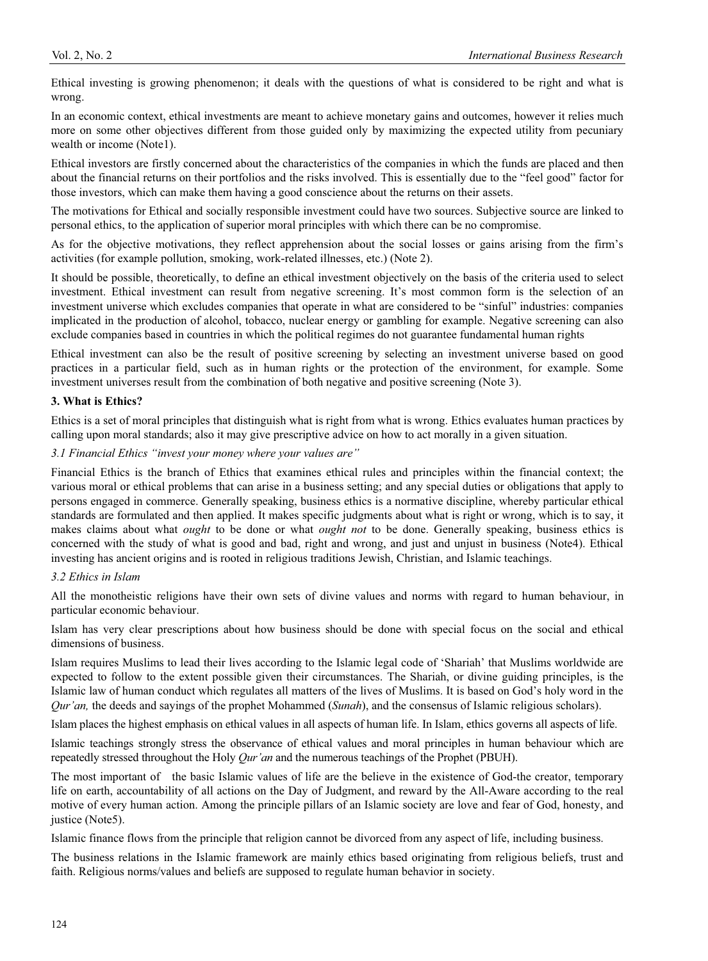Ethical investing is growing phenomenon; it deals with the questions of what is considered to be right and what is wrong.

In an economic context, ethical investments are meant to achieve monetary gains and outcomes, however it relies much more on some other objectives different from those guided only by maximizing the expected utility from pecuniary wealth or income (Note1).

Ethical investors are firstly concerned about the characteristics of the companies in which the funds are placed and then about the financial returns on their portfolios and the risks involved. This is essentially due to the "feel good" factor for those investors, which can make them having a good conscience about the returns on their assets.

The motivations for Ethical and socially responsible investment could have two sources. Subjective source are linked to personal ethics, to the application of superior moral principles with which there can be no compromise.

As for the objective motivations, they reflect apprehension about the social losses or gains arising from the firm's activities (for example pollution, smoking, work-related illnesses, etc.) (Note 2).

It should be possible, theoretically, to define an ethical investment objectively on the basis of the criteria used to select investment. Ethical investment can result from negative screening. It's most common form is the selection of an investment universe which excludes companies that operate in what are considered to be "sinful" industries: companies implicated in the production of alcohol, tobacco, nuclear energy or gambling for example. Negative screening can also exclude companies based in countries in which the political regimes do not guarantee fundamental human rights

Ethical investment can also be the result of positive screening by selecting an investment universe based on good practices in a particular field, such as in human rights or the protection of the environment, for example. Some investment universes result from the combination of both negative and positive screening (Note 3).

## **3. What is Ethics?**

Ethics is a set of moral principles that distinguish what is right from what is wrong. Ethics evaluates human practices by calling upon moral standards; also it may give prescriptive advice on how to act morally in a given situation.

*3.1 Financial Ethics "invest your money where your values are"* 

Financial Ethics is the branch of Ethics that examines ethical rules and principles within the financial context; the various moral or ethical problems that can arise in a business setting; and any special duties or obligations that apply to persons engaged in commerce. Generally speaking, business ethics is a normative discipline, whereby particular ethical standards are formulated and then applied. It makes specific judgments about what is right or wrong, which is to say, it makes claims about what *ought* to be done or what *ought not* to be done. Generally speaking, business ethics is concerned with the study of what is good and bad, right and wrong, and just and unjust in business (Note4). Ethical investing has ancient origins and is rooted in religious traditions Jewish, Christian, and Islamic teachings.

#### *3.2 Ethics in Islam*

All the monotheistic religions have their own sets of divine values and norms with regard to human behaviour, in particular economic behaviour.

Islam has very clear prescriptions about how business should be done with special focus on the social and ethical dimensions of business.

Islam requires Muslims to lead their lives according to the Islamic legal code of 'Shariah' that Muslims worldwide are expected to follow to the extent possible given their circumstances. The Shariah, or divine guiding principles, is the Islamic law of human conduct which regulates all matters of the lives of Muslims. It is based on God's holy word in the *Qur'an,* the deeds and sayings of the prophet Mohammed (*Sunah*), and the consensus of Islamic religious scholars).

Islam places the highest emphasis on ethical values in all aspects of human life. In Islam, ethics governs all aspects of life.

Islamic teachings strongly stress the observance of ethical values and moral principles in human behaviour which are repeatedly stressed throughout the Holy *Qur'an* and the numerous teachings of the Prophet (PBUH).

The most important of the basic Islamic values of life are the believe in the existence of God-the creator, temporary life on earth, accountability of all actions on the Day of Judgment, and reward by the All-Aware according to the real motive of every human action. Among the principle pillars of an Islamic society are love and fear of God, honesty, and justice (Note5).

Islamic finance flows from the principle that religion cannot be divorced from any aspect of life, including business.

The business relations in the Islamic framework are mainly ethics based originating from religious beliefs, trust and faith. Religious norms/values and beliefs are supposed to regulate human behavior in society.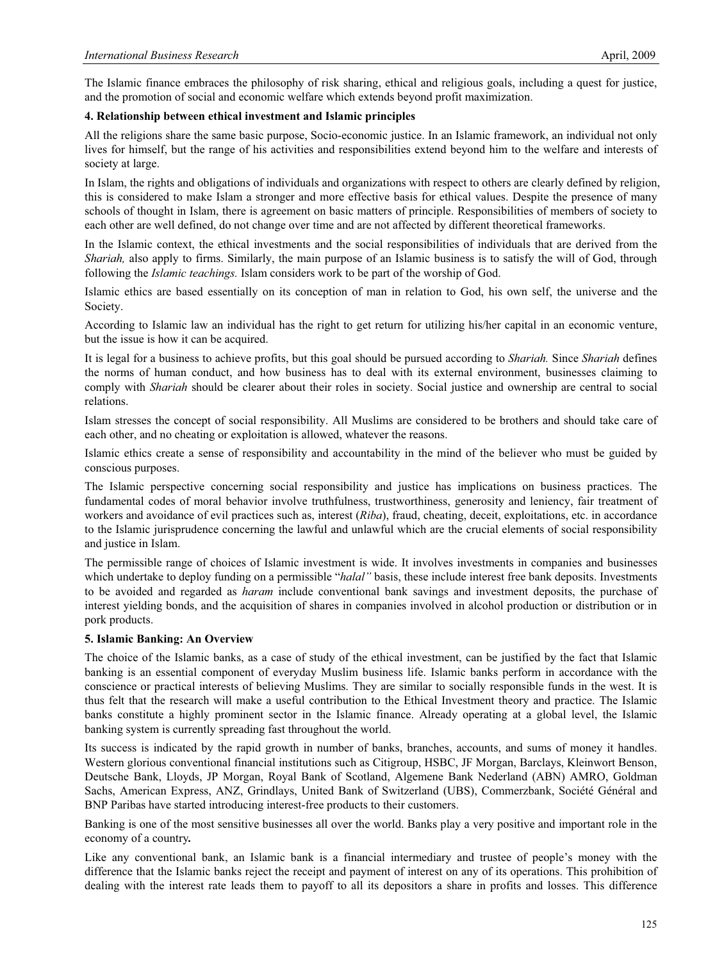The Islamic finance embraces the philosophy of risk sharing, ethical and religious goals, including a quest for justice, and the promotion of social and economic welfare which extends beyond profit maximization.

#### **4. Relationship between ethical investment and Islamic principles**

All the religions share the same basic purpose, Socio-economic justice. In an Islamic framework, an individual not only lives for himself, but the range of his activities and responsibilities extend beyond him to the welfare and interests of society at large.

In Islam, the rights and obligations of individuals and organizations with respect to others are clearly defined by religion, this is considered to make Islam a stronger and more effective basis for ethical values. Despite the presence of many schools of thought in Islam, there is agreement on basic matters of principle. Responsibilities of members of society to each other are well defined, do not change over time and are not affected by different theoretical frameworks.

In the Islamic context, the ethical investments and the social responsibilities of individuals that are derived from the *Shariah,* also apply to firms. Similarly, the main purpose of an Islamic business is to satisfy the will of God, through following the *Islamic teachings.* Islam considers work to be part of the worship of God.

Islamic ethics are based essentially on its conception of man in relation to God, his own self, the universe and the Society.

According to Islamic law an individual has the right to get return for utilizing his/her capital in an economic venture, but the issue is how it can be acquired.

It is legal for a business to achieve profits, but this goal should be pursued according to *Shariah.* Since *Shariah* defines the norms of human conduct, and how business has to deal with its external environment, businesses claiming to comply with *Shariah* should be clearer about their roles in society. Social justice and ownership are central to social relations.

Islam stresses the concept of social responsibility. All Muslims are considered to be brothers and should take care of each other, and no cheating or exploitation is allowed, whatever the reasons.

Islamic ethics create a sense of responsibility and accountability in the mind of the believer who must be guided by conscious purposes.

The Islamic perspective concerning social responsibility and justice has implications on business practices. The fundamental codes of moral behavior involve truthfulness, trustworthiness, generosity and leniency, fair treatment of workers and avoidance of evil practices such as, interest (*Riba*), fraud, cheating, deceit, exploitations, etc. in accordance to the Islamic jurisprudence concerning the lawful and unlawful which are the crucial elements of social responsibility and justice in Islam.

The permissible range of choices of Islamic investment is wide. It involves investments in companies and businesses which undertake to deploy funding on a permissible "*halal"* basis, these include interest free bank deposits. Investments to be avoided and regarded as *haram* include conventional bank savings and investment deposits, the purchase of interest yielding bonds, and the acquisition of shares in companies involved in alcohol production or distribution or in pork products.

## **5. Islamic Banking: An Overview**

The choice of the Islamic banks, as a case of study of the ethical investment, can be justified by the fact that Islamic banking is an essential component of everyday Muslim business life. Islamic banks perform in accordance with the conscience or practical interests of believing Muslims. They are similar to socially responsible funds in the west. It is thus felt that the research will make a useful contribution to the Ethical Investment theory and practice. The Islamic banks constitute a highly prominent sector in the Islamic finance. Already operating at a global level, the Islamic banking system is currently spreading fast throughout the world.

Its success is indicated by the rapid growth in number of banks, branches, accounts, and sums of money it handles. Western glorious conventional financial institutions such as Citigroup, HSBC, JF Morgan, Barclays, Kleinwort Benson, Deutsche Bank, Lloyds, JP Morgan, Royal Bank of Scotland, Algemene Bank Nederland (ABN) AMRO, Goldman Sachs, American Express, ANZ, Grindlays, United Bank of Switzerland (UBS), Commerzbank, Société Général and BNP Paribas have started introducing interest-free products to their customers.

Banking is one of the most sensitive businesses all over the world. Banks play a very positive and important role in the economy of a country*.*

Like any conventional bank, an Islamic bank is a financial intermediary and trustee of people's money with the difference that the Islamic banks reject the receipt and payment of interest on any of its operations. This prohibition of dealing with the interest rate leads them to payoff to all its depositors a share in profits and losses. This difference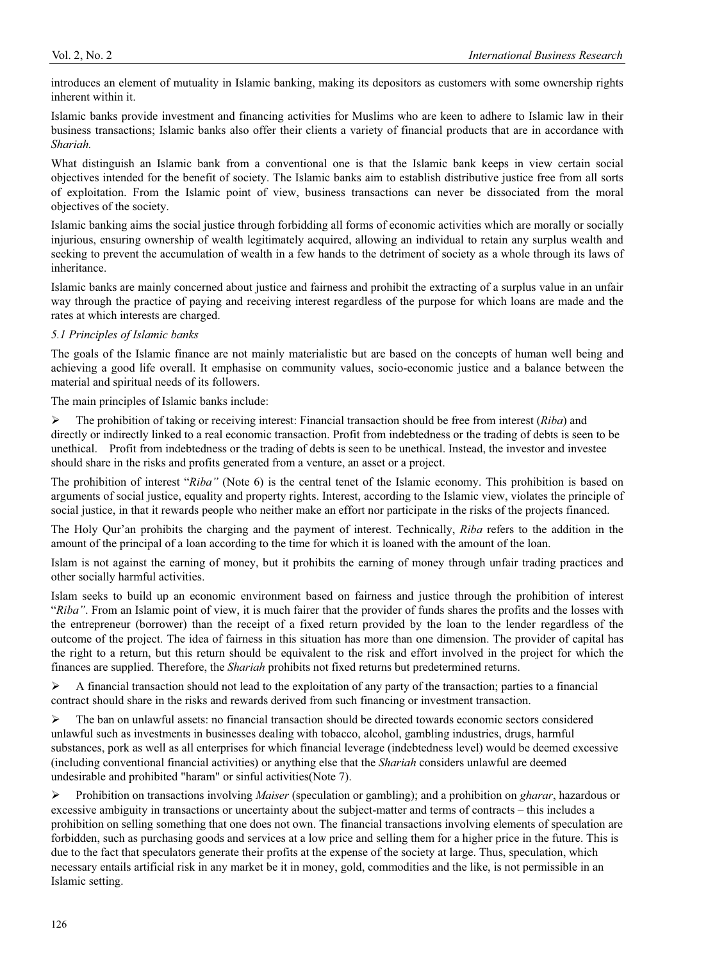introduces an element of mutuality in Islamic banking, making its depositors as customers with some ownership rights inherent within it.

Islamic banks provide investment and financing activities for Muslims who are keen to adhere to Islamic law in their business transactions; Islamic banks also offer their clients a variety of financial products that are in accordance with *Shariah.* 

What distinguish an Islamic bank from a conventional one is that the Islamic bank keeps in view certain social objectives intended for the benefit of society. The Islamic banks aim to establish distributive justice free from all sorts of exploitation. From the Islamic point of view, business transactions can never be dissociated from the moral objectives of the society.

Islamic banking aims the social justice through forbidding all forms of economic activities which are morally or socially injurious, ensuring ownership of wealth legitimately acquired, allowing an individual to retain any surplus wealth and seeking to prevent the accumulation of wealth in a few hands to the detriment of society as a whole through its laws of inheritance.

Islamic banks are mainly concerned about justice and fairness and prohibit the extracting of a surplus value in an unfair way through the practice of paying and receiving interest regardless of the purpose for which loans are made and the rates at which interests are charged.

## *5.1 Principles of Islamic banks*

The goals of the Islamic finance are not mainly materialistic but are based on the concepts of human well being and achieving a good life overall. It emphasise on community values, socio-economic justice and a balance between the material and spiritual needs of its followers.

The main principles of Islamic banks include:

¾ The prohibition of taking or receiving interest: Financial transaction should be free from interest (*Riba*) and directly or indirectly linked to a real economic transaction. Profit from indebtedness or the trading of debts is seen to be unethical. Profit from indebtedness or the trading of debts is seen to be unethical. Instead, the investor and investee should share in the risks and profits generated from a venture, an asset or a project.

The prohibition of interest "*Riba"* (Note 6) is the central tenet of the Islamic economy. This prohibition is based on arguments of social justice, equality and property rights. Interest, according to the Islamic view, violates the principle of social justice, in that it rewards people who neither make an effort nor participate in the risks of the projects financed.

The Holy Qur'an prohibits the charging and the payment of interest. Technically, *Riba* refers to the addition in the amount of the principal of a loan according to the time for which it is loaned with the amount of the loan.

Islam is not against the earning of money, but it prohibits the earning of money through unfair trading practices and other socially harmful activities.

Islam seeks to build up an economic environment based on fairness and justice through the prohibition of interest "*Riba"*. From an Islamic point of view, it is much fairer that the provider of funds shares the profits and the losses with the entrepreneur (borrower) than the receipt of a fixed return provided by the loan to the lender regardless of the outcome of the project. The idea of fairness in this situation has more than one dimension. The provider of capital has the right to a return, but this return should be equivalent to the risk and effort involved in the project for which the finances are supplied. Therefore, the *Shariah* prohibits not fixed returns but predetermined returns.

¾ A financial transaction should not lead to the exploitation of any party of the transaction; parties to a financial contract should share in the risks and rewards derived from such financing or investment transaction.

 $\triangleright$  The ban on unlawful assets: no financial transaction should be directed towards economic sectors considered unlawful such as investments in businesses dealing with tobacco, alcohol, gambling industries, drugs, harmful substances, pork as well as all enterprises for which financial leverage (indebtedness level) would be deemed excessive (including conventional financial activities) or anything else that the *Shariah* considers unlawful are deemed undesirable and prohibited "haram" or sinful activities(Note 7).

¾ Prohibition on transactions involving *Maiser* (speculation or gambling); and a prohibition on *gharar*, hazardous or excessive ambiguity in transactions or uncertainty about the subject-matter and terms of contracts *–* this includes a prohibition on selling something that one does not own. The financial transactions involving elements of speculation are forbidden, such as purchasing goods and services at a low price and selling them for a higher price in the future. This is due to the fact that speculators generate their profits at the expense of the society at large. Thus, speculation, which necessary entails artificial risk in any market be it in money, gold, commodities and the like, is not permissible in an Islamic setting.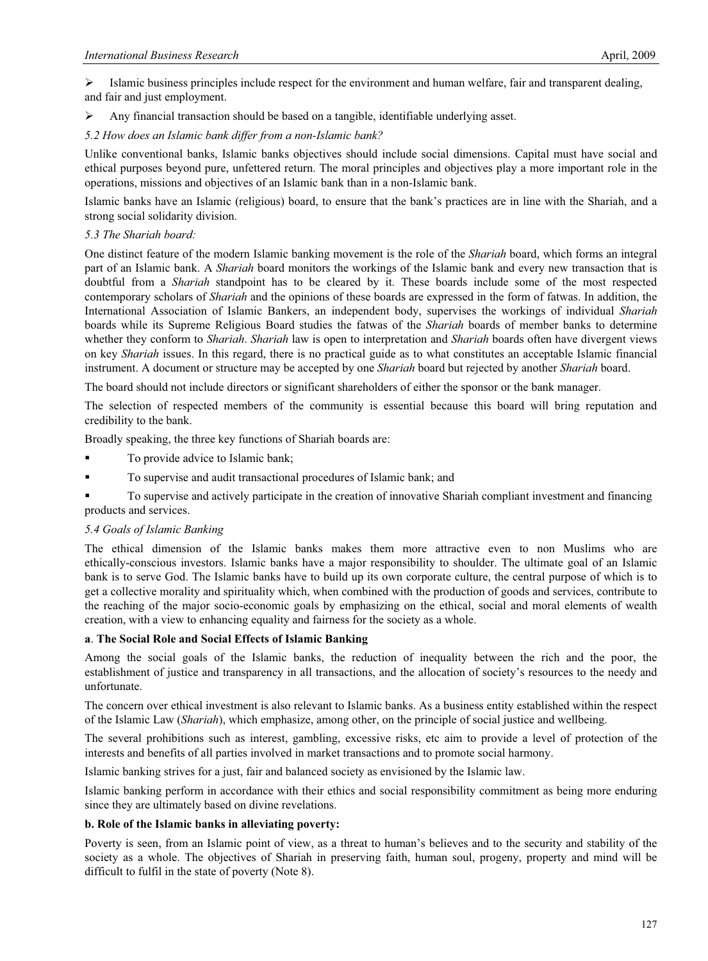$\triangleright$  Islamic business principles include respect for the environment and human welfare, fair and transparent dealing, and fair and just employment.

 $\triangleright$  Any financial transaction should be based on a tangible, identifiable underlying asset.

# *5.2 How does an Islamic bank differ from a non-Islamic bank?*

Unlike conventional banks, Islamic banks objectives should include social dimensions. Capital must have social and ethical purposes beyond pure, unfettered return. The moral principles and objectives play a more important role in the operations, missions and objectives of an Islamic bank than in a non-Islamic bank.

Islamic banks have an Islamic (religious) board, to ensure that the bank's practices are in line with the Shariah, and a strong social solidarity division.

# *5.3 The Shariah board:*

One distinct feature of the modern Islamic banking movement is the role of the *Shariah* board, which forms an integral part of an Islamic bank. A *Shariah* board monitors the workings of the Islamic bank and every new transaction that is doubtful from a *Shariah* standpoint has to be cleared by it. These boards include some of the most respected contemporary scholars of *Shariah* and the opinions of these boards are expressed in the form of fatwas. In addition, the International Association of Islamic Bankers, an independent body, supervises the workings of individual *Shariah*  boards while its Supreme Religious Board studies the fatwas of the *Shariah* boards of member banks to determine whether they conform to *Shariah*. *Shariah* law is open to interpretation and *Shariah* boards often have divergent views on key *Shariah* issues. In this regard, there is no practical guide as to what constitutes an acceptable Islamic financial instrument. A document or structure may be accepted by one *Shariah* board but rejected by another *Shariah* board.

The board should not include directors or significant shareholders of either the sponsor or the bank manager.

The selection of respected members of the community is essential because this board will bring reputation and credibility to the bank.

Broadly speaking, the three key functions of Shariah boards are:

- To provide advice to Islamic bank;
- To supervise and audit transactional procedures of Islamic bank; and

 To supervise and actively participate in the creation of innovative Shariah compliant investment and financing products and services.

## *5.4 Goals of Islamic Banking*

The ethical dimension of the Islamic banks makes them more attractive even to non Muslims who are ethically-conscious investors. Islamic banks have a major responsibility to shoulder. The ultimate goal of an Islamic bank is to serve God. The Islamic banks have to build up its own corporate culture, the central purpose of which is to get a collective morality and spirituality which, when combined with the production of goods and services, contribute to the reaching of the major socio-economic goals by emphasizing on the ethical, social and moral elements of wealth creation, with a view to enhancing equality and fairness for the society as a whole.

## **a**. **The Social Role and Social Effects of Islamic Banking**

Among the social goals of the Islamic banks, the reduction of inequality between the rich and the poor, the establishment of justice and transparency in all transactions, and the allocation of society's resources to the needy and unfortunate.

The concern over ethical investment is also relevant to Islamic banks. As a business entity established within the respect of the Islamic Law (*Shariah*), which emphasize, among other, on the principle of social justice and wellbeing.

The several prohibitions such as interest, gambling, excessive risks, etc aim to provide a level of protection of the interests and benefits of all parties involved in market transactions and to promote social harmony.

Islamic banking strives for a just, fair and balanced society as envisioned by the Islamic law.

Islamic banking perform in accordance with their ethics and social responsibility commitment as being more enduring since they are ultimately based on divine revelations.

## **b. Role of the Islamic banks in alleviating poverty:**

Poverty is seen, from an Islamic point of view, as a threat to human's believes and to the security and stability of the society as a whole. The objectives of Shariah in preserving faith, human soul, progeny, property and mind will be difficult to fulfil in the state of poverty (Note 8).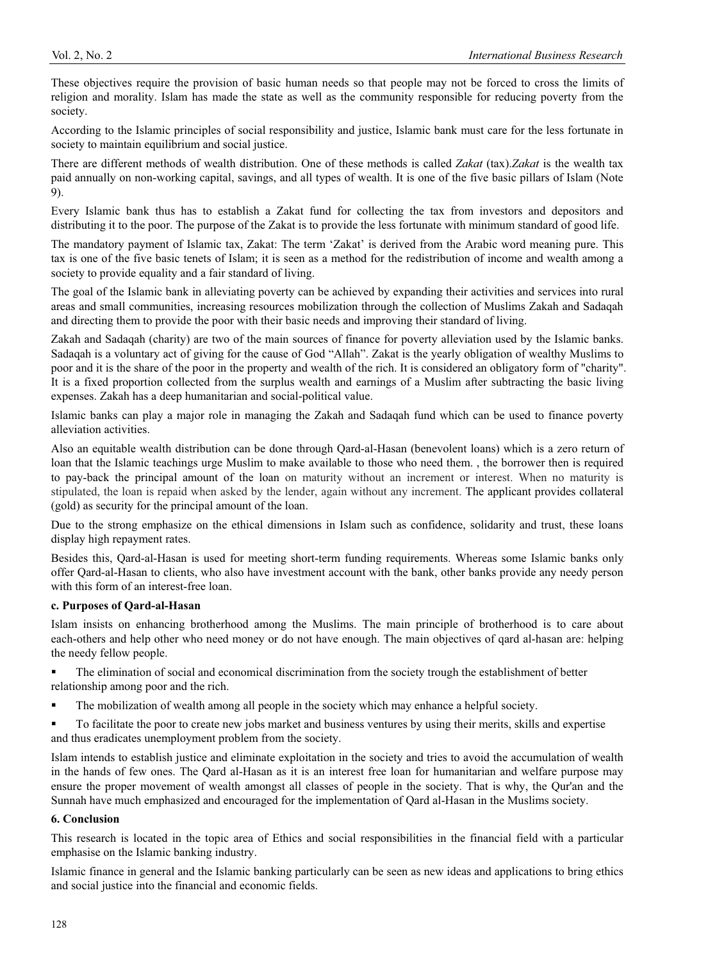These objectives require the provision of basic human needs so that people may not be forced to cross the limits of religion and morality. Islam has made the state as well as the community responsible for reducing poverty from the society.

According to the Islamic principles of social responsibility and justice, Islamic bank must care for the less fortunate in society to maintain equilibrium and social justice.

There are different methods of wealth distribution. One of these methods is called *Zakat* (tax).*Zakat* is the wealth tax paid annually on non-working capital, savings, and all types of wealth. It is one of the five basic pillars of Islam (Note 9).

Every Islamic bank thus has to establish a Zakat fund for collecting the tax from investors and depositors and distributing it to the poor. The purpose of the Zakat is to provide the less fortunate with minimum standard of good life.

The mandatory payment of Islamic tax, Zakat: The term 'Zakat' is derived from the Arabic word meaning pure. This tax is one of the five basic tenets of Islam; it is seen as a method for the redistribution of income and wealth among a society to provide equality and a fair standard of living.

The goal of the Islamic bank in alleviating poverty can be achieved by expanding their activities and services into rural areas and small communities, increasing resources mobilization through the collection of Muslims Zakah and Sadaqah and directing them to provide the poor with their basic needs and improving their standard of living.

Zakah and Sadaqah (charity) are two of the main sources of finance for poverty alleviation used by the Islamic banks. Sadaqah is a voluntary act of giving for the cause of God "Allah". Zakat is the yearly obligation of wealthy Muslims to poor and it is the share of the poor in the property and wealth of the rich. It is considered an obligatory form of "charity". It is a fixed proportion collected from the surplus wealth and earnings of a Muslim after subtracting the basic living expenses. Zakah has a deep humanitarian and social-political value.

Islamic banks can play a major role in managing the Zakah and Sadaqah fund which can be used to finance poverty alleviation activities.

Also an equitable wealth distribution can be done through Qard-al-Hasan (benevolent loans) which is a zero return of loan that the Islamic teachings urge Muslim to make available to those who need them. , the borrower then is required to pay-back the principal amount of the loan on maturity without an increment or interest. When no maturity is stipulated, the loan is repaid when asked by the lender, again without any increment. The applicant provides collateral (gold) as security for the principal amount of the loan.

Due to the strong emphasize on the ethical dimensions in Islam such as confidence, solidarity and trust, these loans display high repayment rates.

Besides this, Qard-al-Hasan is used for meeting short-term funding requirements. Whereas some Islamic banks only offer Qard-al-Hasan to clients, who also have investment account with the bank, other banks provide any needy person with this form of an interest-free loan.

#### **c. Purposes of Qard-al-Hasan**

Islam insists on enhancing brotherhood among the Muslims. The main principle of brotherhood is to care about each-others and help other who need money or do not have enough. The main objectives of qard al-hasan are: helping the needy fellow people.

- The elimination of social and economical discrimination from the society trough the establishment of better relationship among poor and the rich.
- The mobilization of wealth among all people in the society which may enhance a helpful society.
- To facilitate the poor to create new jobs market and business ventures by using their merits, skills and expertise and thus eradicates unemployment problem from the society.

Islam intends to establish justice and eliminate exploitation in the society and tries to avoid the accumulation of wealth in the hands of few ones. The Qard al-Hasan as it is an interest free loan for humanitarian and welfare purpose may ensure the proper movement of wealth amongst all classes of people in the society. That is why, the Qur'an and the Sunnah have much emphasized and encouraged for the implementation of Qard al-Hasan in the Muslims society.

#### **6. Conclusion**

This research is located in the topic area of Ethics and social responsibilities in the financial field with a particular emphasise on the Islamic banking industry.

Islamic finance in general and the Islamic banking particularly can be seen as new ideas and applications to bring ethics and social justice into the financial and economic fields.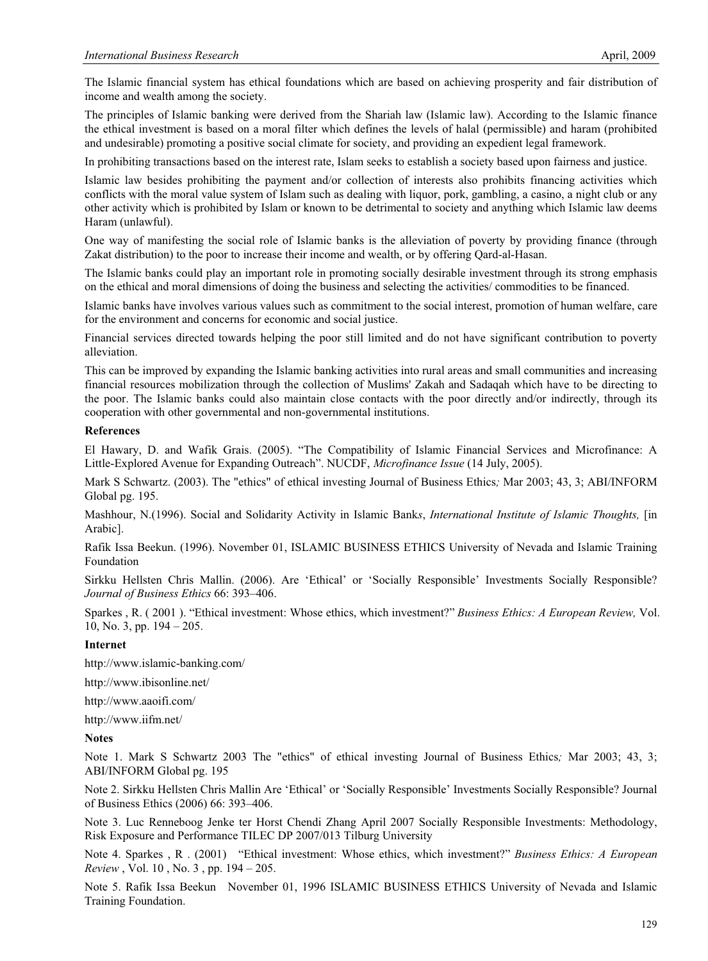The Islamic financial system has ethical foundations which are based on achieving prosperity and fair distribution of income and wealth among the society.

The principles of Islamic banking were derived from the Shariah law (Islamic law). According to the Islamic finance the ethical investment is based on a moral filter which defines the levels of halal (permissible) and haram (prohibited and undesirable) promoting a positive social climate for society, and providing an expedient legal framework.

In prohibiting transactions based on the interest rate, Islam seeks to establish a society based upon fairness and justice.

Islamic law besides prohibiting the payment and/or collection of interests also prohibits financing activities which conflicts with the moral value system of Islam such as dealing with liquor, pork, gambling, a casino, a night club or any other activity which is prohibited by Islam or known to be detrimental to society and anything which Islamic law deems Haram (unlawful).

One way of manifesting the social role of Islamic banks is the alleviation of poverty by providing finance (through Zakat distribution) to the poor to increase their income and wealth, or by offering Qard-al-Hasan.

The Islamic banks could play an important role in promoting socially desirable investment through its strong emphasis on the ethical and moral dimensions of doing the business and selecting the activities/ commodities to be financed.

Islamic banks have involves various values such as commitment to the social interest, promotion of human welfare, care for the environment and concerns for economic and social justice.

Financial services directed towards helping the poor still limited and do not have significant contribution to poverty alleviation.

This can be improved by expanding the Islamic banking activities into rural areas and small communities and increasing financial resources mobilization through the collection of Muslims' Zakah and Sadaqah which have to be directing to the poor. The Islamic banks could also maintain close contacts with the poor directly and/or indirectly, through its cooperation with other governmental and non-governmental institutions.

#### **References**

El Hawary, D. and Wafik Grais. (2005). "The Compatibility of Islamic Financial Services and Microfinance: A Little-Explored Avenue for Expanding Outreach". NUCDF, *Microfinance Issue* (14 July, 2005).

Mark S Schwartz. (2003). The "ethics" of ethical investing Journal of Business Ethics*;* Mar 2003; 43, 3; ABI/INFORM Global pg. 195.

Mashhour, N.(1996). Social and Solidarity Activity in Islamic Bank*s*, *International Institute of Islamic Thoughts,* [in Arabic].

Rafik Issa Beekun. (1996). November 01, ISLAMIC BUSINESS ETHICS University of Nevada and Islamic Training Foundation

Sirkku Hellsten Chris Mallin. (2006). Are 'Ethical' or 'Socially Responsible' Investments Socially Responsible? *Journal of Business Ethics* 66: 393–406.

Sparkes , R. ( 2001 ). "Ethical investment: Whose ethics, which investment?" *Business Ethics: A European Review,* Vol. 10, No. 3, pp. 194 – 205.

#### **Internet**

http://www.islamic-banking.com/

http://www.ibisonline.net/

http://www.aaoifi.com/

http://www.iifm.net/

#### **Notes**

Note 1. Mark S Schwartz 2003 The "ethics" of ethical investing Journal of Business Ethics*;* Mar 2003; 43, 3; ABI/INFORM Global pg. 195

Note 2. Sirkku Hellsten Chris Mallin Are 'Ethical' or 'Socially Responsible' Investments Socially Responsible? Journal of Business Ethics (2006) 66: 393–406.

Note 3. Luc Renneboog Jenke ter Horst Chendi Zhang April 2007 Socially Responsible Investments: Methodology, Risk Exposure and Performance TILEC DP 2007/013 Tilburg University

Note 4. Sparkes , R . (2001) "Ethical investment: Whose ethics, which investment?" *Business Ethics: A European Review* , Vol. 10 , No. 3 , pp. 194 – 205.

Note 5. Rafik Issa Beekun November 01, 1996 ISLAMIC BUSINESS ETHICS University of Nevada and Islamic Training Foundation.